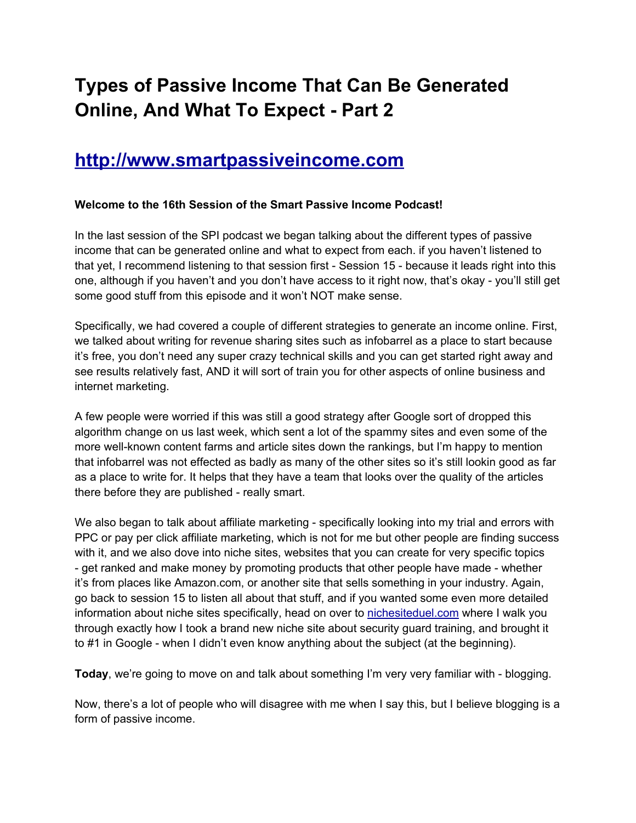# **Types of Passive Income That Can Be Generated Online, And What To Expect - Part 2**

# **[http:](http://www.google.com/url?q=http%3A%2F%2Fwww.smartpassiveincome.com&sa=D&sntz=1&usg=AFQjCNFMFF4mJal0wIJSPo1lHIiz_n8dew)//w[ww](http://www.google.com/url?q=http%3A%2F%2Fwww.smartpassiveincome.com&sa=D&sntz=1&usg=AFQjCNFMFF4mJal0wIJSPo1lHIiz_n8dew).[smart](http://www.google.com/url?q=http%3A%2F%2Fwww.smartpassiveincome.com&sa=D&sntz=1&usg=AFQjCNFMFF4mJal0wIJSPo1lHIiz_n8dew)pas[siveincome.com](http://www.google.com/url?q=http%3A%2F%2Fwww.smartpassiveincome.com&sa=D&sntz=1&usg=AFQjCNFMFF4mJal0wIJSPo1lHIiz_n8dew)**

## **Welcome to the 16th Session of the Smart Passive Income Podcast!**

In the last session of the SPI podcast we began talking about the different types of passive income that can be generated online and what to expect from each. if you haven't listened to that yet, I recommend listening to that session first - Session 15 - because it leads right into this one, although if you haven't and you don't have access to it right now, that's okay - you'll still get some good stuff from this episode and it won't NOT make sense.

Specifically, we had covered a couple of different strategies to generate an income online. First, we talked about writing for revenue sharing sites such as infobarrel as a place to start because it's free, you don't need any super crazy technical skills and you can get started right away and see results relatively fast, AND it will sort of train you for other aspects of online business and internet marketing.

A few people were worried if this was still a good strategy after Google sort of dropped this algorithm change on us last week, which sent a lot of the spammy sites and even some of the more well-known content farms and article sites down the rankings, but I'm happy to mention that infobarrel was not effected as badly as many of the other sites so it's still lookin good as far as a place to write for. It helps that they have a team that looks over the quality of the articles there before they are published - really smart.

We also began to talk about affiliate marketing - specifically looking into my trial and errors with PPC or pay per click affiliate marketing, which is not for me but other people are finding success with it, and we also dove into niche sites, websites that you can create for very specific topics - get ranked and make money by promoting products that other people have made - whether it's from places like Amazon.com, or another site that sells something in your industry. Again, go back to session 15 to listen all about that stuff, and if you wanted some even more detailed information about niche sites specifically, head on over to [nichesiteduel](http://www.google.com/url?q=http%3A%2F%2Fnichesiteduel.com&sa=D&sntz=1&usg=AFQjCNFLlVM30fByRSimMLhUddAXJE8awQ).com where I [walk](http://www.google.com/url?q=http%3A%2F%2Fnichesiteduel.com&sa=D&sntz=1&usg=AFQjCNFLlVM30fByRSimMLhUddAXJE8awQ) you through exactly how I took a brand new niche site about security guard training, and brought it to #1 in Google - when I didn't even know anything about the subject (at the beginning).

**Today**, we're going to move on and talk about something I'm very very familiar with - blogging.

Now, there's a lot of people who will disagree with me when I say this, but I believe blogging is a form of passive income.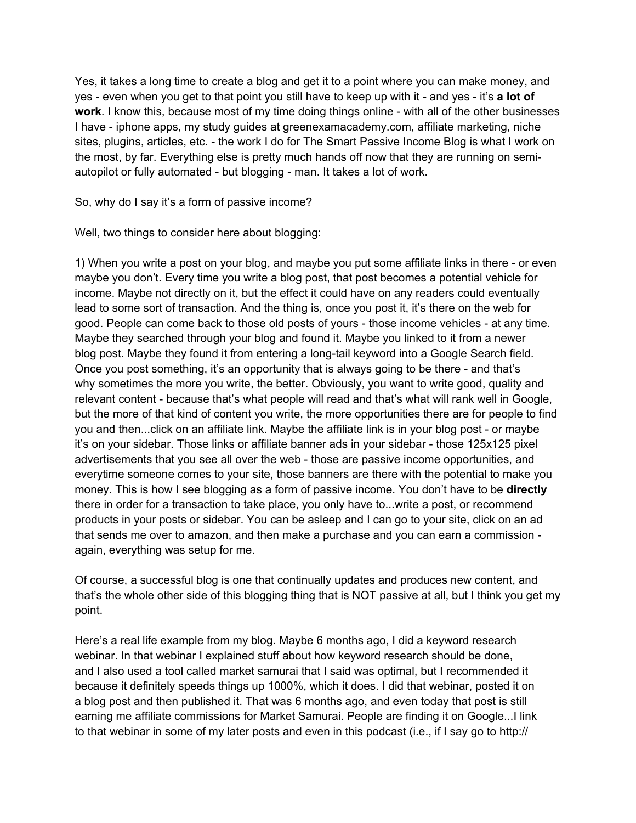Yes, it takes a long time to create a blog and get it to a point where you can make money, and yes - even when you get to that point you still have to keep up with it - and yes - it's **a lot of work**. I know this, because most of my time doing things online - with all of the other businesses I have - iphone apps, my study guides at greenexamacademy.com, affiliate marketing, niche sites, plugins, articles, etc. - the work I do for The Smart Passive Income Blog is what I work on the most, by far. Everything else is pretty much hands off now that they are running on semiautopilot or fully automated - but blogging - man. It takes a lot of work.

So, why do I say it's a form of passive income?

Well, two things to consider here about blogging:

1) When you write a post on your blog, and maybe you put some affiliate links in there - or even maybe you don't. Every time you write a blog post, that post becomes a potential vehicle for income. Maybe not directly on it, but the effect it could have on any readers could eventually lead to some sort of transaction. And the thing is, once you post it, it's there on the web for good. People can come back to those old posts of yours - those income vehicles - at any time. Maybe they searched through your blog and found it. Maybe you linked to it from a newer blog post. Maybe they found it from entering a long-tail keyword into a Google Search field. Once you post something, it's an opportunity that is always going to be there - and that's why sometimes the more you write, the better. Obviously, you want to write good, quality and relevant content - because that's what people will read and that's what will rank well in Google, but the more of that kind of content you write, the more opportunities there are for people to find you and then...click on an affiliate link. Maybe the affiliate link is in your blog post - or maybe it's on your sidebar. Those links or affiliate banner ads in your sidebar - those 125x125 pixel advertisements that you see all over the web - those are passive income opportunities, and everytime someone comes to your site, those banners are there with the potential to make you money. This is how I see blogging as a form of passive income. You don't have to be **directly** there in order for a transaction to take place, you only have to...write a post, or recommend products in your posts or sidebar. You can be asleep and I can go to your site, click on an ad that sends me over to amazon, and then make a purchase and you can earn a commission again, everything was setup for me.

Of course, a successful blog is one that continually updates and produces new content, and that's the whole other side of this blogging thing that is NOT passive at all, but I think you get my point.

Here's a real life example from my blog. Maybe 6 months ago, I did a keyword research webinar. In that webinar I explained stuff about how keyword research should be done, and I also used a tool called market samurai that I said was optimal, but I recommended it because it definitely speeds things up 1000%, which it does. I did that webinar, posted it on a blog post and then published it. That was 6 months ago, and even today that post is still earning me affiliate commissions for Market Samurai. People are finding it on Google...I link to that webinar in some of my later posts and even in this podcast (i.e., if I say go to http://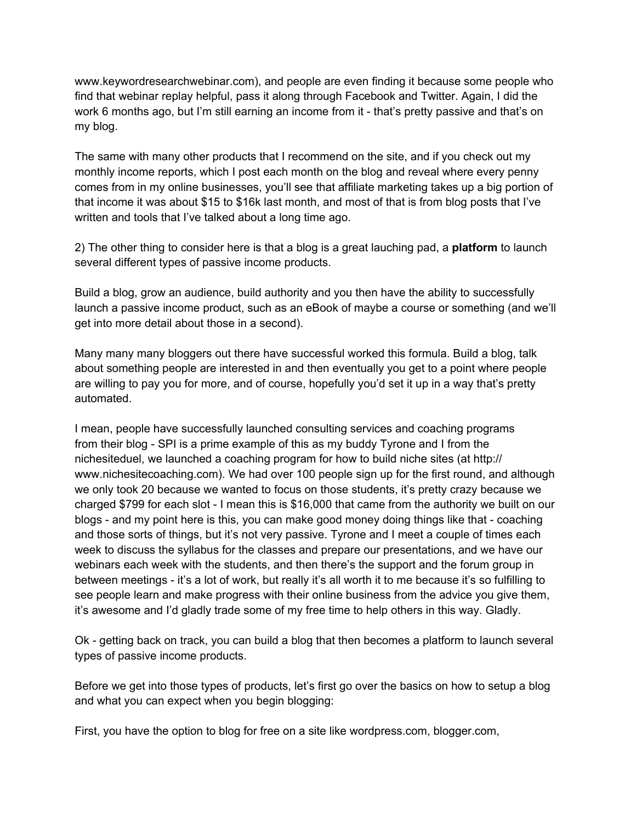www.keywordresearchwebinar.com), and people are even finding it because some people who find that webinar replay helpful, pass it along through Facebook and Twitter. Again, I did the work 6 months ago, but I'm still earning an income from it - that's pretty passive and that's on my blog.

The same with many other products that I recommend on the site, and if you check out my monthly income reports, which I post each month on the blog and reveal where every penny comes from in my online businesses, you'll see that affiliate marketing takes up a big portion of that income it was about \$15 to \$16k last month, and most of that is from blog posts that I've written and tools that I've talked about a long time ago.

2) The other thing to consider here is that a blog is a great lauching pad, a **platform** to launch several different types of passive income products.

Build a blog, grow an audience, build authority and you then have the ability to successfully launch a passive income product, such as an eBook of maybe a course or something (and we'll get into more detail about those in a second).

Many many many bloggers out there have successful worked this formula. Build a blog, talk about something people are interested in and then eventually you get to a point where people are willing to pay you for more, and of course, hopefully you'd set it up in a way that's pretty automated.

I mean, people have successfully launched consulting services and coaching programs from their blog - SPI is a prime example of this as my buddy Tyrone and I from the nichesiteduel, we launched a coaching program for how to build niche sites (at http:// www.nichesitecoaching.com). We had over 100 people sign up for the first round, and although we only took 20 because we wanted to focus on those students, it's pretty crazy because we charged \$799 for each slot - I mean this is \$16,000 that came from the authority we built on our blogs - and my point here is this, you can make good money doing things like that - coaching and those sorts of things, but it's not very passive. Tyrone and I meet a couple of times each week to discuss the syllabus for the classes and prepare our presentations, and we have our webinars each week with the students, and then there's the support and the forum group in between meetings - it's a lot of work, but really it's all worth it to me because it's so fulfilling to see people learn and make progress with their online business from the advice you give them, it's awesome and I'd gladly trade some of my free time to help others in this way. Gladly.

Ok - getting back on track, you can build a blog that then becomes a platform to launch several types of passive income products.

Before we get into those types of products, let's first go over the basics on how to setup a blog and what you can expect when you begin blogging:

First, you have the option to blog for free on a site like wordpress.com, blogger.com,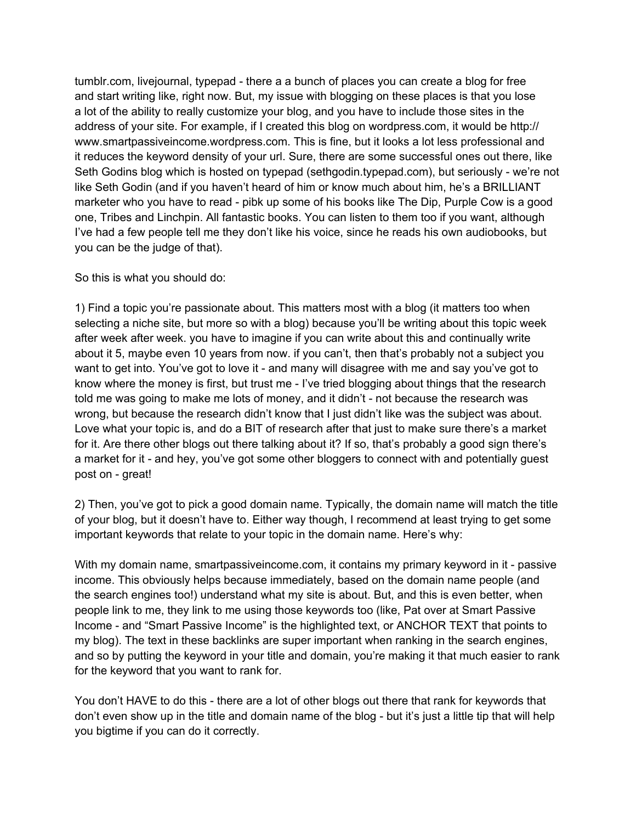tumblr.com, livejournal, typepad - there a a bunch of places you can create a blog for free and start writing like, right now. But, my issue with blogging on these places is that you lose a lot of the ability to really customize your blog, and you have to include those sites in the address of your site. For example, if I created this blog on wordpress.com, it would be http:// www.smartpassiveincome.wordpress.com. This is fine, but it looks a lot less professional and it reduces the keyword density of your url. Sure, there are some successful ones out there, like Seth Godins blog which is hosted on typepad (sethgodin.typepad.com), but seriously - we're not like Seth Godin (and if you haven't heard of him or know much about him, he's a BRILLIANT marketer who you have to read - pibk up some of his books like The Dip, Purple Cow is a good one, Tribes and Linchpin. All fantastic books. You can listen to them too if you want, although I've had a few people tell me they don't like his voice, since he reads his own audiobooks, but you can be the judge of that).

#### So this is what you should do:

1) Find a topic you're passionate about. This matters most with a blog (it matters too when selecting a niche site, but more so with a blog) because you'll be writing about this topic week after week after week. you have to imagine if you can write about this and continually write about it 5, maybe even 10 years from now. if you can't, then that's probably not a subject you want to get into. You've got to love it - and many will disagree with me and say you've got to know where the money is first, but trust me - I've tried blogging about things that the research told me was going to make me lots of money, and it didn't - not because the research was wrong, but because the research didn't know that I just didn't like was the subject was about. Love what your topic is, and do a BIT of research after that just to make sure there's a market for it. Are there other blogs out there talking about it? If so, that's probably a good sign there's a market for it - and hey, you've got some other bloggers to connect with and potentially guest post on - great!

2) Then, you've got to pick a good domain name. Typically, the domain name will match the title of your blog, but it doesn't have to. Either way though, I recommend at least trying to get some important keywords that relate to your topic in the domain name. Here's why:

With my domain name, smartpassiveincome.com, it contains my primary keyword in it - passive income. This obviously helps because immediately, based on the domain name people (and the search engines too!) understand what my site is about. But, and this is even better, when people link to me, they link to me using those keywords too (like, Pat over at Smart Passive Income - and "Smart Passive Income" is the highlighted text, or ANCHOR TEXT that points to my blog). The text in these backlinks are super important when ranking in the search engines, and so by putting the keyword in your title and domain, you're making it that much easier to rank for the keyword that you want to rank for.

You don't HAVE to do this - there are a lot of other blogs out there that rank for keywords that don't even show up in the title and domain name of the blog - but it's just a little tip that will help you bigtime if you can do it correctly.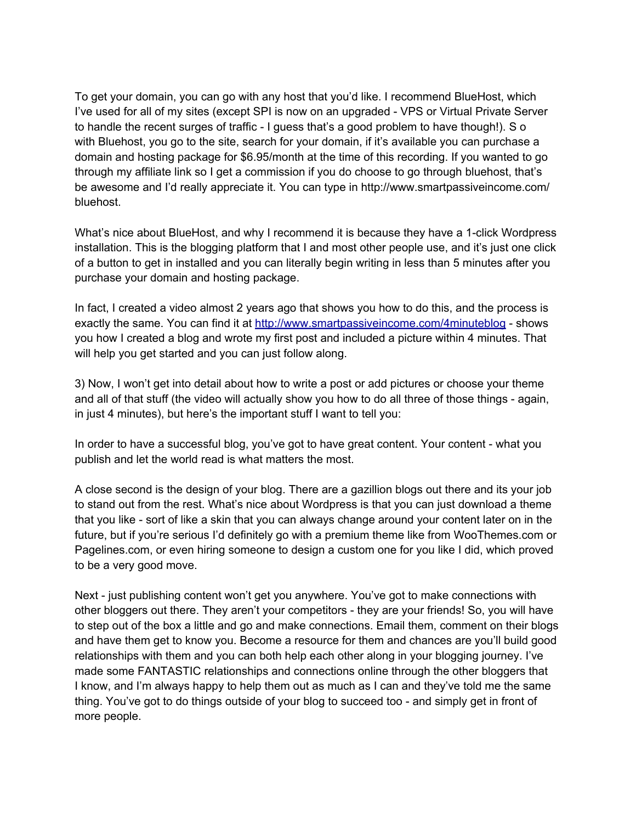To get your domain, you can go with any host that you'd like. I recommend BlueHost, which I've used for all of my sites (except SPI is now on an upgraded - VPS or Virtual Private Server to handle the recent surges of traffic - I guess that's a good problem to have though!). S o with Bluehost, you go to the site, search for your domain, if it's available you can purchase a domain and hosting package for \$6.95/month at the time of this recording. If you wanted to go through my affiliate link so I get a commission if you do choose to go through bluehost, that's be awesome and I'd really appreciate it. You can type in http://www.smartpassiveincome.com/ bluehost.

What's nice about BlueHost, and why I recommend it is because they have a 1-click Wordpress installation. This is the blogging platform that I and most other people use, and it's just one click of a button to get in installed and you can literally begin writing in less than 5 minutes after you purchase your domain and hosting package.

In fact, I created a video almost 2 years ago that shows you how to do this, and the process is exactly the same. You can find it at [http](http://www.google.com/url?q=http%3A%2F%2Fwww.smartpassiveincome.com%2F4minuteblog&sa=D&sntz=1&usg=AFQjCNGE76AFu4ExomaJOoTUv4jjKLGAWQ)://[ww](http://www.google.com/url?q=http%3A%2F%2Fwww.smartpassiveincome.com%2F4minuteblog&sa=D&sntz=1&usg=AFQjCNGE76AFu4ExomaJOoTUv4jjKLGAWQ)w.[smart](http://www.google.com/url?q=http%3A%2F%2Fwww.smartpassiveincome.com%2F4minuteblog&sa=D&sntz=1&usg=AFQjCNGE76AFu4ExomaJOoTUv4jjKLGAWQ)pas[siveincome.com/4minu](http://www.google.com/url?q=http%3A%2F%2Fwww.smartpassiveincome.com%2F4minuteblog&sa=D&sntz=1&usg=AFQjCNGE76AFu4ExomaJOoTUv4jjKLGAWQ)teblog - shows you how I created a blog and wrote my first post and included a picture within 4 minutes. That will help you get started and you can just follow along.

3) Now, I won't get into detail about how to write a post or add pictures or choose your theme and all of that stuff (the video will actually show you how to do all three of those things - again, in just 4 minutes), but here's the important stuff I want to tell you:

In order to have a successful blog, you've got to have great content. Your content - what you publish and let the world read is what matters the most.

A close second is the design of your blog. There are a gazillion blogs out there and its your job to stand out from the rest. What's nice about Wordpress is that you can just download a theme that you like - sort of like a skin that you can always change around your content later on in the future, but if you're serious I'd definitely go with a premium theme like from WooThemes.com or Pagelines.com, or even hiring someone to design a custom one for you like I did, which proved to be a very good move.

Next - just publishing content won't get you anywhere. You've got to make connections with other bloggers out there. They aren't your competitors - they are your friends! So, you will have to step out of the box a little and go and make connections. Email them, comment on their blogs and have them get to know you. Become a resource for them and chances are you'll build good relationships with them and you can both help each other along in your blogging journey. I've made some FANTASTIC relationships and connections online through the other bloggers that I know, and I'm always happy to help them out as much as I can and they've told me the same thing. You've got to do things outside of your blog to succeed too - and simply get in front of more people.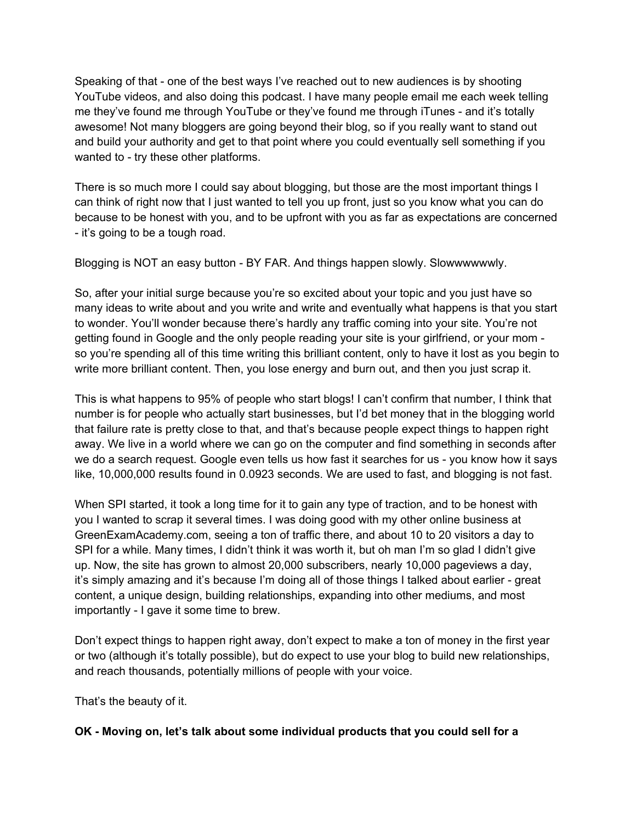Speaking of that - one of the best ways I've reached out to new audiences is by shooting YouTube videos, and also doing this podcast. I have many people email me each week telling me they've found me through YouTube or they've found me through iTunes - and it's totally awesome! Not many bloggers are going beyond their blog, so if you really want to stand out and build your authority and get to that point where you could eventually sell something if you wanted to - try these other platforms.

There is so much more I could say about blogging, but those are the most important things I can think of right now that I just wanted to tell you up front, just so you know what you can do because to be honest with you, and to be upfront with you as far as expectations are concerned - it's going to be a tough road.

Blogging is NOT an easy button - BY FAR. And things happen slowly. Slowwwwwwly.

So, after your initial surge because you're so excited about your topic and you just have so many ideas to write about and you write and write and eventually what happens is that you start to wonder. You'll wonder because there's hardly any traffic coming into your site. You're not getting found in Google and the only people reading your site is your girlfriend, or your mom so you're spending all of this time writing this brilliant content, only to have it lost as you begin to write more brilliant content. Then, you lose energy and burn out, and then you just scrap it.

This is what happens to 95% of people who start blogs! I can't confirm that number, I think that number is for people who actually start businesses, but I'd bet money that in the blogging world that failure rate is pretty close to that, and that's because people expect things to happen right away. We live in a world where we can go on the computer and find something in seconds after we do a search request. Google even tells us how fast it searches for us - you know how it says like, 10,000,000 results found in 0.0923 seconds. We are used to fast, and blogging is not fast.

When SPI started, it took a long time for it to gain any type of traction, and to be honest with you I wanted to scrap it several times. I was doing good with my other online business at GreenExamAcademy.com, seeing a ton of traffic there, and about 10 to 20 visitors a day to SPI for a while. Many times, I didn't think it was worth it, but oh man I'm so glad I didn't give up. Now, the site has grown to almost 20,000 subscribers, nearly 10,000 pageviews a day, it's simply amazing and it's because I'm doing all of those things I talked about earlier - great content, a unique design, building relationships, expanding into other mediums, and most importantly - I gave it some time to brew.

Don't expect things to happen right away, don't expect to make a ton of money in the first year or two (although it's totally possible), but do expect to use your blog to build new relationships, and reach thousands, potentially millions of people with your voice.

That's the beauty of it.

#### **OK - Moving on, let's talk about some individual products that you could sell for a**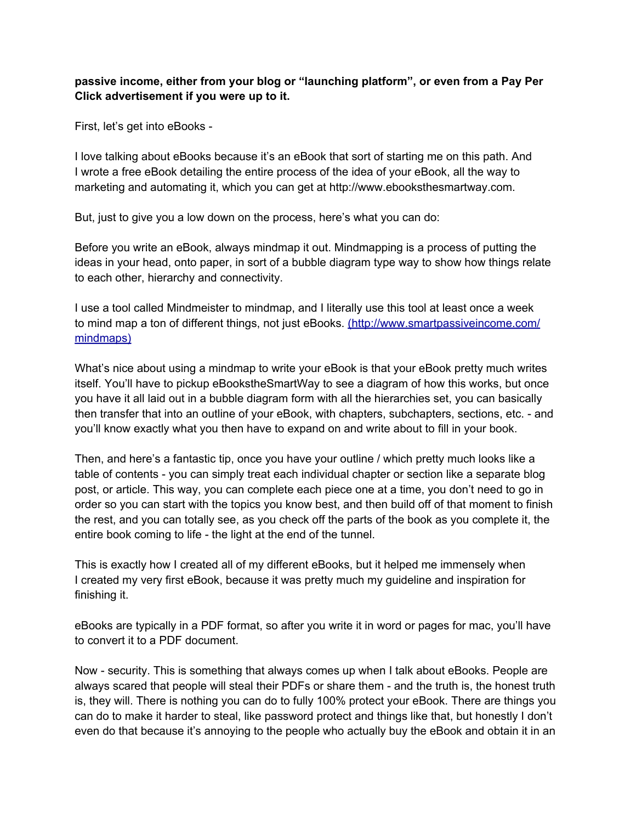## **passive income, either from your blog or "launching platform", or even from a Pay Per Click advertisement if you were up to it.**

First, let's get into eBooks -

I love talking about eBooks because it's an eBook that sort of starting me on this path. And I wrote a free eBook detailing the entire process of the idea of your eBook, all the way to marketing and automating it, which you can get at http://www.ebooksthesmartway.com.

But, just to give you a low down on the process, here's what you can do:

Before you write an eBook, always mindmap it out. Mindmapping is a process of putting the ideas in your head, onto paper, in sort of a bubble diagram type way to show how things relate to each other, hierarchy and connectivity.

I use a tool called Mindmeister to mindmap, and I literally use this tool at least once a week to mind map a ton of different things, not just eBooks. (http://www.smartpassiveincome.com/ mindmaps)

What's nice about using a mindmap to write your eBook is that your eBook pretty much writes itself. You'll have to pickup eBookstheSmartWay to see a diagram of how this works, but once you have it all laid out in a bubble diagram form with all the hierarchies set, you can basically then transfer that into an outline of your eBook, with chapters, subchapters, sections, etc. - and you'll know exactly what you then have to expand on and write about to fill in your book.

Then, and here's a fantastic tip, once you have your outline / which pretty much looks like a table of contents - you can simply treat each individual chapter or section like a separate blog post, or article. This way, you can complete each piece one at a time, you don't need to go in order so you can start with the topics you know best, and then build off of that moment to finish the rest, and you can totally see, as you check off the parts of the book as you complete it, the entire book coming to life - the light at the end of the tunnel.

This is exactly how I created all of my different eBooks, but it helped me immensely when I created my very first eBook, because it was pretty much my guideline and inspiration for finishing it.

eBooks are typically in a PDF format, so after you write it in word or pages for mac, you'll have to convert it to a PDF document.

Now - security. This is something that always comes up when I talk about eBooks. People are always scared that people will steal their PDFs or share them - and the truth is, the honest truth is, they will. There is nothing you can do to fully 100% protect your eBook. There are things you can do to make it harder to steal, like password protect and things like that, but honestly I don't even do that because it's annoying to the people who actually buy the eBook and obtain it in an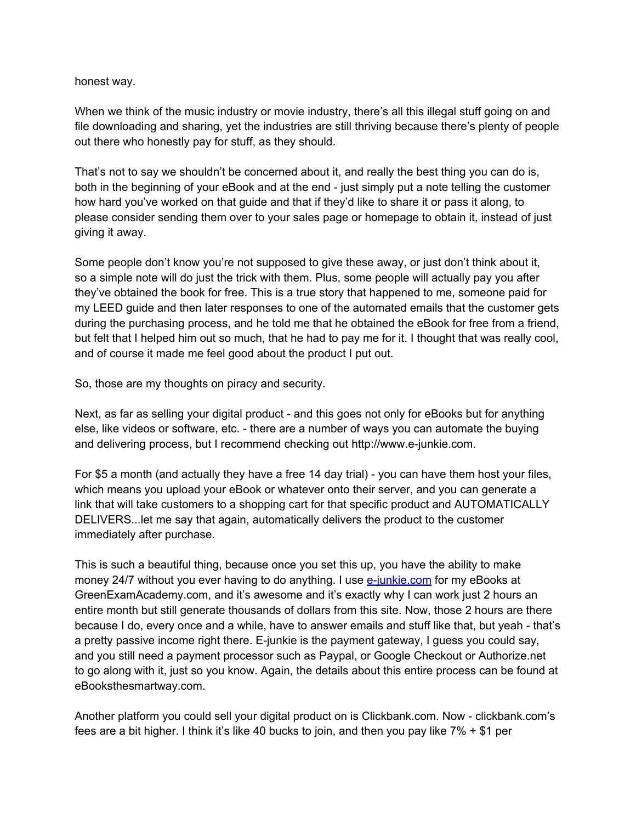#### honest way.

When we think of the music industry or movie industry, there's all this illegal stuff going on and file downloading and sharing, yet the industries are still thriving because there's plenty of people out there who honestly pay for stuff, as they should.

That's not to say we shouldn't be concerned about it, and really the best thing you can do is, both in the beginning of your eBook and at the end - just simply put a note telling the customer how hard you've worked on that guide and that if they'd like to share it or pass it along, to please consider sending them over to your sales page or homepage to obtain it, instead of just giving it away.

Some people don't know you're not supposed to give these away, or just don't think about it, so a simple note will do just the trick with them. Plus, some people will actually pay you after they've obtained the book for free. This is a true story that happened to me, someone paid for my LEED guide and then later responses to one of the automated emails that the customer gets during the purchasing process, and he told me that he obtained the eBook for free from a friend, but felt that I helped him out so much, that he had to pay me for it. I thought that was really cool, and of course it made me feel good about the product I put out.

So, those are my thoughts on piracy and security.

Next, as far as selling your digital product - and this goes not only for eBooks but for anything else, like videos or software, etc. - there are a number of ways you can automate the buying and delivering process, but I recommend checking out http://www.e-junkie.com.

For \$5 a month (and actually they have a free 14 day trial) - you can have them host your files, which means you upload your eBook or whatever onto their server, and you can generate a link that will take customers to a shopping cart for that specific product and AUTOMATICALLY DELIVERS...let me say that again, automatically delivers the product to the customer immediately after purchase.

This is such a beautiful thing, because once you set this up, you have the ability to make mon[e](http://www.google.com/url?q=http%3A%2F%2Fe-junkie.com&sa=D&sntz=1&usg=AFQjCNGKPFytBRjCo0jy7adaShVmAZ1WaQ)y 24/7 without you ever having to do anything. I use e-j[unkie.co](http://www.google.com/url?q=http%3A%2F%2Fe-junkie.com&sa=D&sntz=1&usg=AFQjCNGKPFytBRjCo0jy7adaShVmAZ1WaQ)m fo[r](http://www.google.com/url?q=http%3A%2F%2Fe-junkie.com&sa=D&sntz=1&usg=AFQjCNGKPFytBRjCo0jy7adaShVmAZ1WaQ) [my](http://www.google.com/url?q=http%3A%2F%2Fe-junkie.com&sa=D&sntz=1&usg=AFQjCNGKPFytBRjCo0jy7adaShVmAZ1WaQ) eBooks at GreenExamAcademy.com, and it's awesome and it's exactly why I can work just 2 hours an entire month but still generate thousands of dollars from this site. Now, those 2 hours are there because I do, every once and a while, have to answer emails and stuff like that, but yeah - that's a pretty passive income right there. E-junkie is the payment gateway, I guess you could say, and you still need a payment processor such as Paypal, or Google Checkout or Authorize.net to go along with it, just so you know. Again, the details about this entire process can be found at eBooksthesmartway.com.

Another platform you could sell your digital product on is Clickbank.com. Now - clickbank.com's fees are a bit higher. I think it's like 40 bucks to join, and then you pay like  $7\% + $1$  per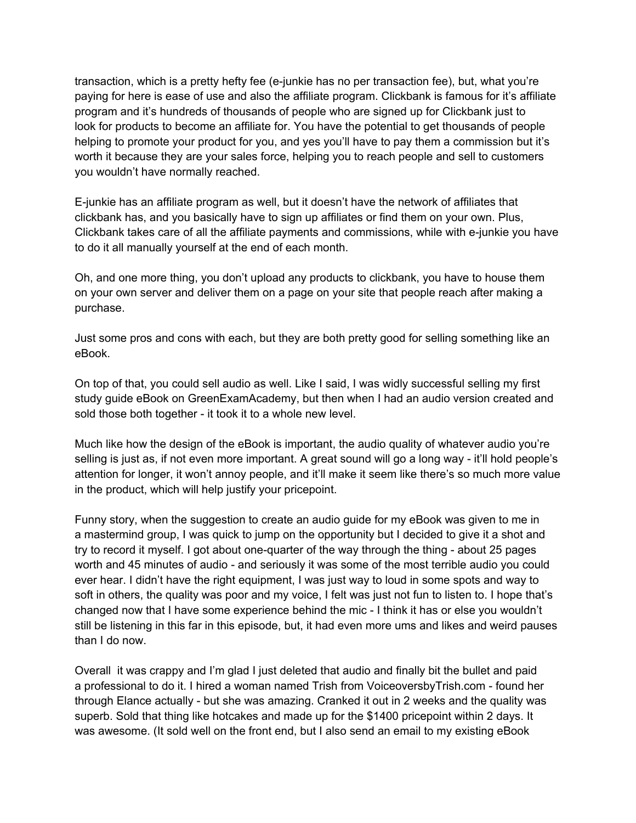transaction, which is a pretty hefty fee (e-junkie has no per transaction fee), but, what you're paying for here is ease of use and also the affiliate program. Clickbank is famous for it's affiliate program and it's hundreds of thousands of people who are signed up for Clickbank just to look for products to become an affiliate for. You have the potential to get thousands of people helping to promote your product for you, and yes you'll have to pay them a commission but it's worth it because they are your sales force, helping you to reach people and sell to customers you wouldn't have normally reached.

E-junkie has an affiliate program as well, but it doesn't have the network of affiliates that clickbank has, and you basically have to sign up affiliates or find them on your own. Plus, Clickbank takes care of all the affiliate payments and commissions, while with e-junkie you have to do it all manually yourself at the end of each month.

Oh, and one more thing, you don't upload any products to clickbank, you have to house them on your own server and deliver them on a page on your site that people reach after making a purchase.

Just some pros and cons with each, but they are both pretty good for selling something like an eBook.

On top of that, you could sell audio as well. Like I said, I was widly successful selling my first study guide eBook on GreenExamAcademy, but then when I had an audio version created and sold those both together - it took it to a whole new level.

Much like how the design of the eBook is important, the audio quality of whatever audio you're selling is just as, if not even more important. A great sound will go a long way - it'll hold people's attention for longer, it won't annoy people, and it'll make it seem like there's so much more value in the product, which will help justify your pricepoint.

Funny story, when the suggestion to create an audio guide for my eBook was given to me in a mastermind group, I was quick to jump on the opportunity but I decided to give it a shot and try to record it myself. I got about one-quarter of the way through the thing - about 25 pages worth and 45 minutes of audio - and seriously it was some of the most terrible audio you could ever hear. I didn't have the right equipment, I was just way to loud in some spots and way to soft in others, the quality was poor and my voice, I felt was just not fun to listen to. I hope that's changed now that I have some experience behind the mic - I think it has or else you wouldn't still be listening in this far in this episode, but, it had even more ums and likes and weird pauses than I do now.

Overall it was crappy and I'm glad I just deleted that audio and finally bit the bullet and paid a professional to do it. I hired a woman named Trish from VoiceoversbyTrish.com - found her through Elance actually - but she was amazing. Cranked it out in 2 weeks and the quality was superb. Sold that thing like hotcakes and made up for the \$1400 pricepoint within 2 days. It was awesome. (It sold well on the front end, but I also send an email to my existing eBook